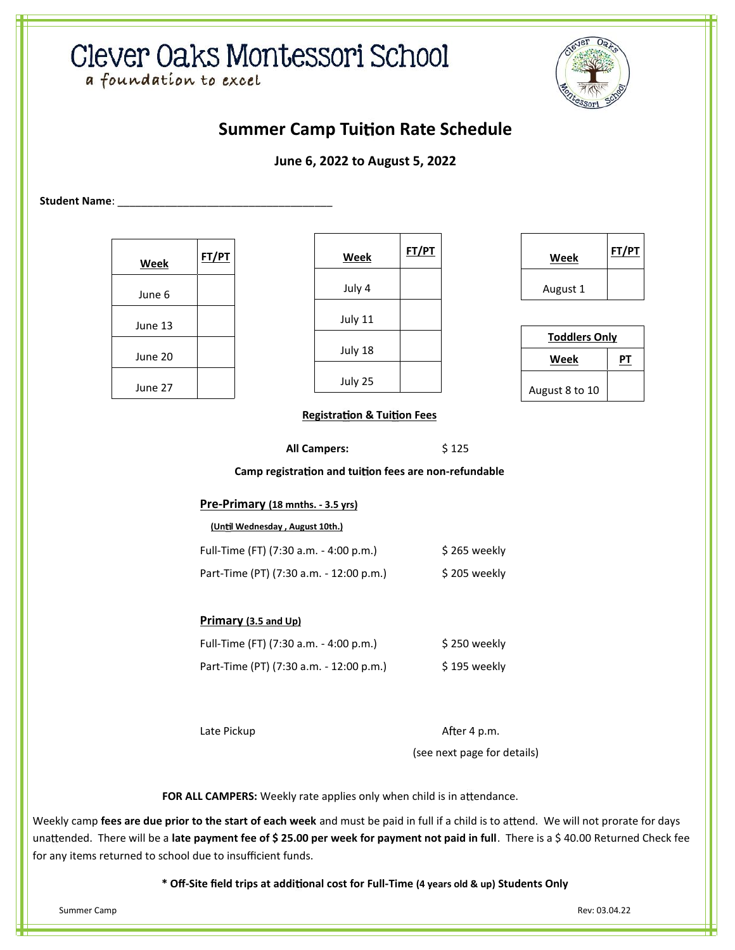# Clever Oaks Montessori School

a foundation to excel



# **Summer Camp Tuition Rate Schedule**

## **June 6, 2022 to August 5, 2022**

Student Name:

| Week    | FT/PT |
|---------|-------|
| June 6  |       |
| June 13 |       |
| June 20 |       |
| June 27 |       |

| Week    | <b>FT/PT</b> |  |
|---------|--------------|--|
| July 4  |              |  |
| July 11 |              |  |
| July 18 |              |  |
| July 25 |              |  |

| Week     | FT/PT |  |
|----------|-------|--|
| August 1 |       |  |

| <b>Toddlers Only</b> |  |  |
|----------------------|--|--|
| Week                 |  |  |
| August 8 to 10       |  |  |

### **Registration & Tuition Fees**

**All Campers:** \$ 125

**Camp registration and tuition fees are non-refundable** 

## **Pre-Primary (18 mnths. - 3.5 yrs)**

#### **(Un l Wednesday , August 10th.)**

| Full-Time (FT) (7:30 a.m. - 4:00 p.m.)  | \$265 weekly  |
|-----------------------------------------|---------------|
| Part-Time (PT) (7:30 a.m. - 12:00 p.m.) | \$ 205 weekly |

### **Primary (3.5 and Up)**

| Full-Time (FT) (7:30 a.m. - 4:00 p.m.)  | \$250 weekly  |
|-----------------------------------------|---------------|
| Part-Time (PT) (7:30 a.m. - 12:00 p.m.) | \$ 195 weekly |

Late Pickup **A** error and the A error A error A error A error A error A error A error A error A error A error A (see next page for details)

FOR ALL CAMPERS: Weekly rate applies only when child is in attendance.

Weekly camp fees are due prior to the start of each week and must be paid in full if a child is to attend. We will not prorate for days unattended. There will be a late payment fee of \$ 25.00 per week for payment not paid in full. There is a \$ 40.00 Returned Check fee for any items returned to school due to insufficient funds.

**\* Off-Site field trips at addi onal cost for Full-Time (4 years old & up) Students Only**

Summer Camp Rev: 03.04.22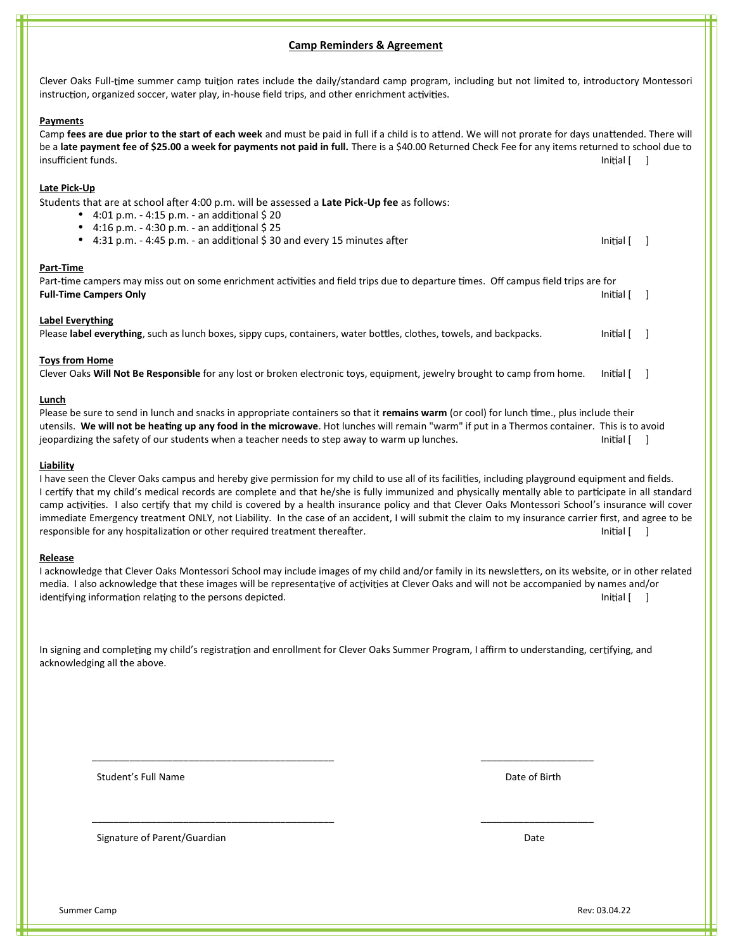#### **Camp Reminders & Agreement**

Clever Oaks Full-time summer camp tuition rates include the daily/standard camp program, including but not limited to, introductory Montessori instruction, organized soccer, water play, in-house field trips, and other enrichment activities.

#### **Payments**

Camp fees are due prior to the start of each week and must be paid in full if a child is to attend. We will not prorate for days unattended. There will be a **late payment fee of \$25.00 a week for payments not paid in full.** There is a \$40.00 Returned Check Fee for any items returned to school due to  $\blacksquare$  insufficient funds. Initial  $\lceil$   $\rceil$ 

#### **Late Pick-Up**

Students that are at school after 4:00 p.m. will be assessed a Late Pick-Up fee as follows:

- 4:01 p.m. 4:15 p.m. an additional  $$20$
- 4:16 p.m. 4:30 p.m. an additional  $$25$
- 4:31 p.m. 4:45 p.m. an additional \$ 30 and every 15 minutes after Initial Equation 1:4:45 p.m. an additional \$ 30 and every 15 minutes after

#### **Part-Time**

Part-time campers may miss out on some enrichment activities and field trips due to departure times. Off campus field trips are for **Full-Time Campers Only Initial [ ] Initial [ ] Initial [ ] Initial [ ] Initial [ ] Initial [ ] Initial [ ] Initial [ ] Initial [ ] Initial [ ] Initial [ ] Initial [ ] Initial [ ] Initial [ ]**

#### **Label Everything**

Please label everything, such as lunch boxes, sippy cups, containers, water bottles, clothes, towels, and backpacks. Initial [ ]

#### **Toys from Home**

Clever Oaks **Will Not Be Responsible** for any lost or broken electronic toys, equipment, jewelry brought to camp from home. Initial [ ]

#### **Lunch**

Please be sure to send in lunch and snacks in appropriate containers so that it remains warm (or cool) for lunch time., plus include their utensils. **We will not be hea ng up any food in the microwave**. Hot lunches will remain "warm" if put in a Thermos container. This is to avoid jeopardizing the safety of our students when a teacher needs to step away to warm up lunches. Initial  $\lceil \ \ \rceil$ 

#### **Liability**

I have seen the Clever Oaks campus and hereby give permission for my child to use all of its facilities, including playground equipment and fields. I certify that my child's medical records are complete and that he/she is fully immunized and physically mentally able to participate in all standard camp activities. I also certify that my child is covered by a health insurance policy and that Clever Oaks Montessori School's insurance will cover immediate Emergency treatment ONLY, not Liability. In the case of an accident, I will submit the claim to my insurance carrier first, and agree to be responsible for any hospitalization or other required treatment thereafter. The initial control initial [ ] ]

#### **Release**

I acknowledge that Clever Oaks Montessori School may include images of my child and/or family in its newsletters, on its website, or in other related media. I also acknowledge that these images will be representative of activities at Clever Oaks and will not be accompanied by names and/or identifying information relating to the persons depicted. Initial [ ] ]

In signing and completing my child's registration and enrollment for Clever Oaks Summer Program, I affirm to understanding, certifying, and acknowledging all the above.

\_\_\_\_\_\_\_\_\_\_\_\_\_\_\_\_\_\_\_\_\_\_\_\_\_\_\_\_\_\_\_\_\_\_\_\_\_\_\_\_\_\_\_\_\_ \_\_\_\_\_\_\_\_\_\_\_\_\_\_\_\_\_\_\_\_\_

\_\_\_\_\_\_\_\_\_\_\_\_\_\_\_\_\_\_\_\_\_\_\_\_\_\_\_\_\_\_\_\_\_\_\_\_\_\_\_\_\_\_\_\_\_ \_\_\_\_\_\_\_\_\_\_\_\_\_\_\_\_\_\_\_\_\_

Student's Full Name **Date of Birth** 

Signature of Parent/Guardian Date of Contract of Parent of Current of Parent of Date of Date of Date of Date of Date of Date of Date of Date of Date of Date of Date of Date of Date of Date of Date of Date of Date of Date o